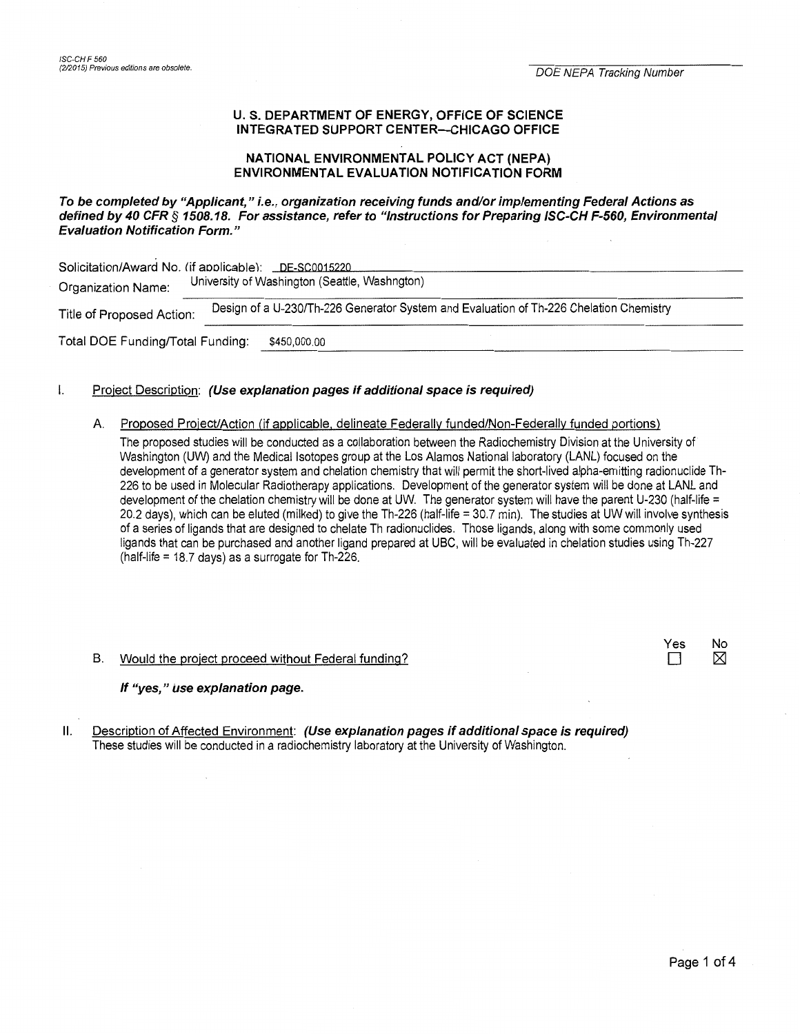### U. S. DEPARTMENT OF ENERGY, OFFICE OF SCIENCE INTEGRATED SUPPORT CENTER-CHICAGO OFFICE

## NATIONAL ENVIRONMENTAL POLICY ACT (NEPA) **ENVIRONMENTAL EVALUATION NOTIFICATION FORM**

## To be completed by "Applicant," i.e., organization receiving funds and/or implementing Federal Actions as defined by 40 CFR § 1508.18. For assistance, refer to "Instructions for Preparing ISC-CH F-560, Environmental **Evaluation Notification Form."**

| Solicitation/Award No. (if applicable): _DE-SC0015220<br>University of Washington (Seattle, Washngton)<br>Organization Name: |                                                                                        |  |  |  |  |  |
|------------------------------------------------------------------------------------------------------------------------------|----------------------------------------------------------------------------------------|--|--|--|--|--|
| Title of Proposed Action:                                                                                                    | Design of a U-230/Th-226 Generator System and Evaluation of Th-226 Chelation Chemistry |  |  |  |  |  |
| Total DOE Funding/Total Funding:                                                                                             | \$450,000.00                                                                           |  |  |  |  |  |

#### Project Description: (Use explanation pages if additional space is required)  $\mathbf{I}$

A. Proposed Project/Action (if applicable, delineate Federally funded/Non-Federally funded portions)

The proposed studies will be conducted as a collaboration between the Radiochemistry Division at the University of Washington (UW) and the Medical Isotopes group at the Los Alamos National laboratory (LANL) focused on the development of a generator system and chelation chemistry that will permit the short-lived alpha-emitting radionuclide Th-226 to be used in Molecular Radiotherapy applications. Development of the generator system will be done at LANL and development of the chelation chemistry will be done at UW. The generator system will have the parent U-230 (half-life = 20.2 days), which can be eluted (milked) to give the Th-226 (half-life = 30.7 min). The studies at UW will involve synthesis of a series of ligands that are designed to chelate Th radionuclides. Those ligands, along with some commonly used ligands that can be purchased and another ligand prepared at UBC, will be evaluated in chelation studies using Th-227 (half-life = 18.7 days) as a surrogate for Th-226.

B. Would the project proceed without Federal funding?

#### If "yes," use explanation page.

Description of Affected Environment: (Use explanation pages if additional space is required)  $II.$ These studies will be conducted in a radiochemistry laboratory at the University of Washington.

Yes

 $\Box$ 

No

⊠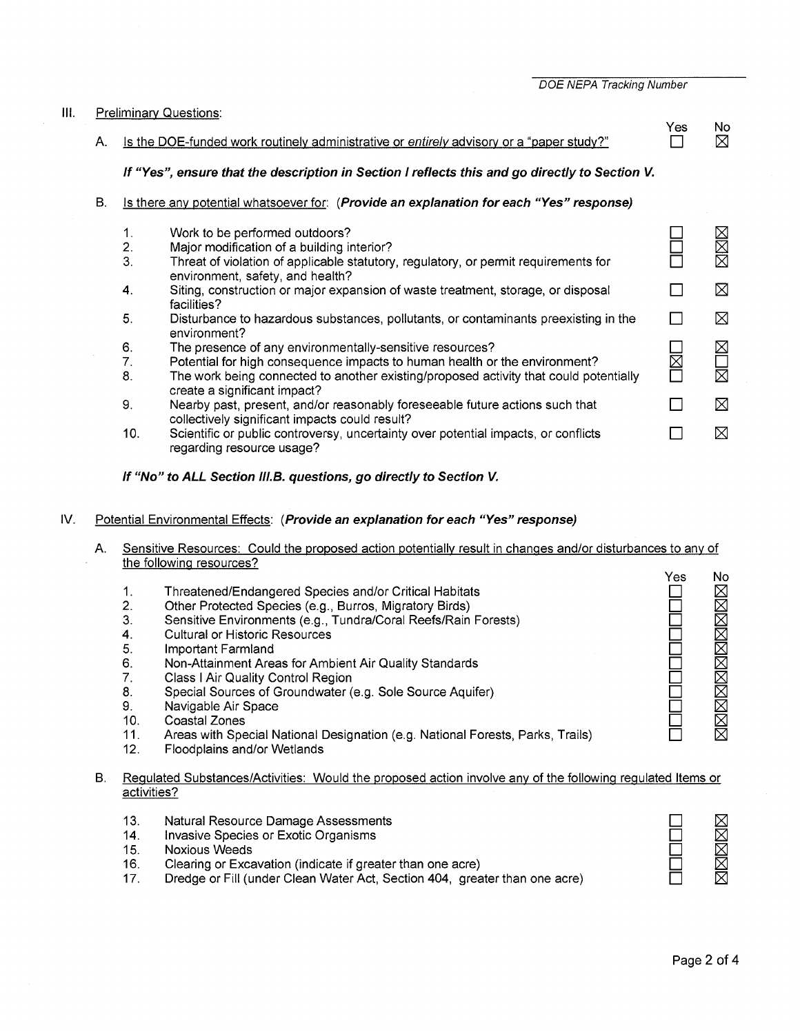|  | DOE NEPA Tracking Number |  |
|--|--------------------------|--|

#### Ill. Preliminary Questions: Yes No A. Is the DOE-funded work routinely administrative or entirely advisory or a "paper study?"  $\Box$  $\boxtimes$ **If "Yes", ensure that the description in Section I reflects this and go directly to Section** *V.*  B. Is there any potential whatsoever for: **(Provide an explanation for each "Yes" response)**  XXX 1. Work to be performed outdoors? D Major modification of a building interior? D 2. 3. Threat of violation of applicable statutory, regulatory, or permit requirements for D environment, safety, and health? ⊠ 4. Siting, construction or major expansion of waste treatment, storage, or disposal  $\Box$ facilities? 5.  $\Box$ ⊠ Disturbance to hazardous substances, pollutants, or contaminants preexisting in the environment?  $\boxtimes$ 6. The presence of any environmentally-sensitive resources? D Potential for high consequence impacts to human health or the environment? 7.  $\overline{\boxtimes}$ 岗 D 8. The work being connected to another existing/proposed activity that could potentially create a significant impact? 9. Nearby past, present, and/or reasonably foreseeable future actions such that  $\Box$ ⊠ collectively significant impacts could result? 10.  $\Box$ ⊠ Scientific or public controversy, uncertainty over potential impacts, or conflicts

regarding resource usage?

# **If "No" to ALL Section 11/.B. questions, go directly to Section V.**

# IV. Potential Environmental Effects: **(Provide an explanation for each "Yes" response)**

- A. Sensitive Resources: Could the proposed action potentially result in changes and/or disturbances to any of the following resources?
- No Yes **NNNNNNNNNNN** 1. Threatened/Endangered Species and/or Critical Habitats D Other Protected Species (e.g., Burros, Migratory Birds)  $\Box$ 2. 3. Sensitive Environments (e.g., Tundra/Coral Reefs/Rain Forests)  $\Box$ 4. Cultural or Historic Resources D D 5. Important Farmland 6. Non-Attainment Areas for Ambient Air Quality Standards D 7. Class I Air Quality Control Region D 8. Special Sources of Groundwater (e.g. Sole Source Aquifer) D 9. Navigable Air Space 口<br>口 D 10. Coastal Zones Areas with Special National Designation (e.g. National Forests, Parks, Trails) D 11. 12. Floodplains and/or Wetlands

### B. Regulated Substances/Activities: Would the proposed action involve any of the following regulated Items or activities?

- 13. Natural Resource Damage Assessments
- 14. Invasive Species or Exotic Organisms
- 15. Noxious Weeds
- 16. Clearing or Excavation (indicate if greater than one acre)
- 17. Dredge or Fill (under Clean Water Act, Section 404, greater than one acre)

<u>xanans</u>

D D D D D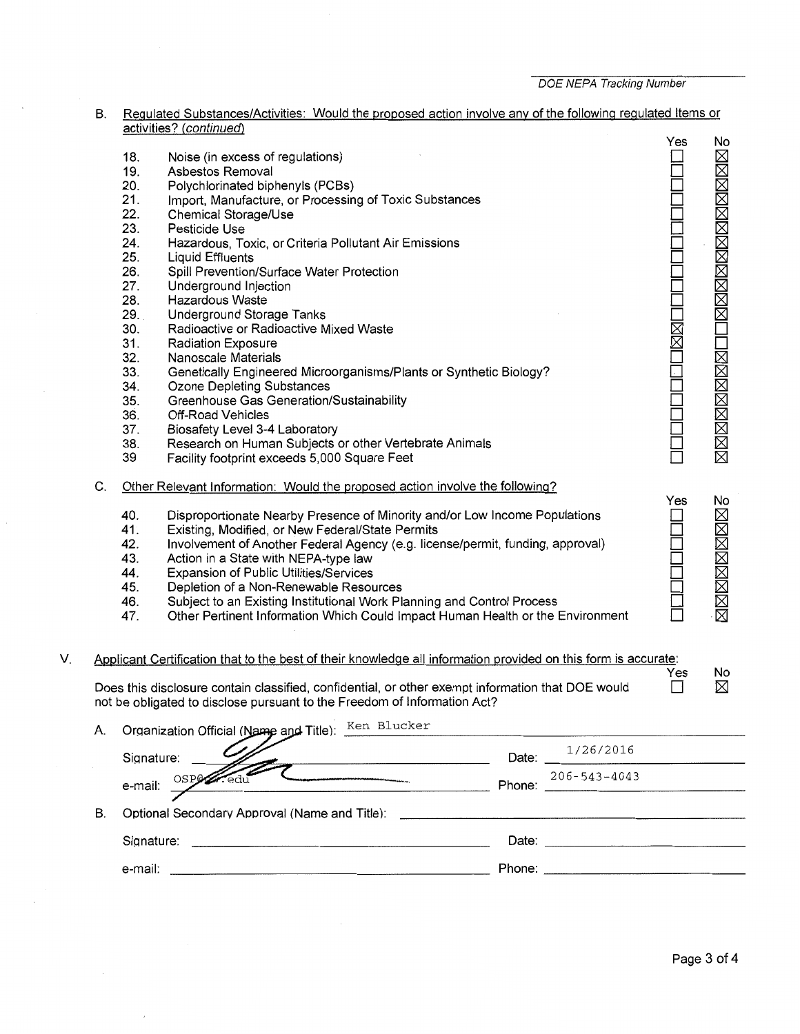# B. <u>Regulated Substances/Activities: Would the proposed action involve any of the following regulated Items or</u> <u>activities? (continued)</u>

|    |    | 18.        | Noise (in excess of regulations)                                                                                      |        |                    | Yes    | No                        |
|----|----|------------|-----------------------------------------------------------------------------------------------------------------------|--------|--------------------|--------|---------------------------|
|    |    | 19.        | Asbestos Removal                                                                                                      |        |                    |        | XXXXXXXXXIIIXXXXXXXXXXXXX |
|    |    | 20.        | Polychlorinated biphenyls (PCBs)                                                                                      |        |                    |        |                           |
|    |    | 21.        | Import, Manufacture, or Processing of Toxic Substances                                                                |        |                    |        |                           |
|    |    | 22.        | Chemical Storage/Use                                                                                                  |        |                    |        |                           |
|    |    | 23.        | Pesticide Use                                                                                                         |        |                    |        |                           |
|    |    | 24.        | Hazardous, Toxic, or Criteria Pollutant Air Emissions                                                                 |        |                    |        |                           |
|    |    | 25.        | <b>Liquid Effluents</b>                                                                                               |        |                    |        |                           |
|    |    | 26.        | Spill Prevention/Surface Water Protection                                                                             |        |                    |        |                           |
|    |    | 27.        | Underground Injection                                                                                                 |        |                    |        |                           |
|    |    | 28.        | <b>Hazardous Waste</b>                                                                                                |        |                    |        |                           |
|    |    | 29.        | <b>Underground Storage Tanks</b>                                                                                      |        |                    |        |                           |
|    |    | 30.        | Radioactive or Radioactive Mixed Waste                                                                                |        |                    |        |                           |
|    |    | 31.        | <b>Radiation Exposure</b>                                                                                             |        |                    |        |                           |
|    |    | 32.        | Nanoscale Materials                                                                                                   |        |                    |        |                           |
|    |    | 33.        | Genetically Engineered Microorganisms/Plants or Synthetic Biology?                                                    |        |                    |        |                           |
|    |    | 34.        | <b>Ozone Depleting Substances</b>                                                                                     |        |                    |        |                           |
|    |    | 35.        | Greenhouse Gas Generation/Sustainability                                                                              |        |                    |        |                           |
|    |    | 36.        | Off-Road Vehicles                                                                                                     |        |                    |        |                           |
|    |    | 37.        | Biosafety Level 3-4 Laboratory                                                                                        |        |                    |        |                           |
|    |    | 38.        | Research on Human Subjects or other Vertebrate Animals                                                                |        |                    |        |                           |
|    |    | 39         | Facility footprint exceeds 5,000 Square Feet                                                                          |        |                    |        |                           |
|    | C. |            | Other Relevant Information: Would the proposed action involve the following?                                          |        |                    | Yes    | No                        |
|    |    | 40.        | Disproportionate Nearby Presence of Minority and/or Low Income Populations                                            |        |                    |        |                           |
|    |    | 41.        | Existing, Modified, or New Federal/State Permits                                                                      |        |                    |        |                           |
|    |    | 42.        | Involvement of Another Federal Agency (e.g. license/permit, funding, approval)                                        |        |                    |        |                           |
|    |    | 43.        | Action in a State with NEPA-type law                                                                                  |        |                    |        |                           |
|    |    | 44.        | Expansion of Public Utilities/Services                                                                                |        |                    |        |                           |
|    |    | 45.        | Depletion of a Non-Renewable Resources                                                                                |        |                    |        |                           |
|    |    | 46.        | Subject to an Existing Institutional Work Planning and Control Process                                                |        |                    |        | 区区区区区区区区                  |
|    |    | 47.        | Other Pertinent Information Which Could Impact Human Health or the Environment                                        |        |                    |        |                           |
|    |    |            |                                                                                                                       |        |                    |        |                           |
| V. |    |            | Applicant Certification that to the best of their knowledge all information provided on this form is accurate:        |        |                    | Yes    | No                        |
|    |    |            | Does this disclosure contain classified, confidential, or other exempt information that DOE would                     |        |                    | $\Box$ | ⊠                         |
|    |    |            | not be obligated to disclose pursuant to the Freedom of Information Act?                                              |        |                    |        |                           |
|    | А. |            | Organization Official (Name and Title): Ken Blucker                                                                   |        |                    |        |                           |
|    |    | Signature: | the contract of the contract of the contract of the contract of the contract of                                       | Date:  | 1/26/2016          |        |                           |
|    |    |            |                                                                                                                       |        | $206 - 543 - 4043$ |        |                           |
|    |    | e-mail:    |                                                                                                                       | Phone: |                    |        |                           |
|    | В. |            | Optional Secondary Approval (Name and Title):                                                                         |        |                    |        |                           |
|    |    | Signature: | <u> - Andreas Andreas Andreas Andreas Andreas Andreas Andreas Andreas Andreas Andreas Andreas Andreas Andreas And</u> |        | Date:              |        |                           |
|    |    | e-mail:    |                                                                                                                       |        |                    |        |                           |
|    |    |            |                                                                                                                       |        |                    |        |                           |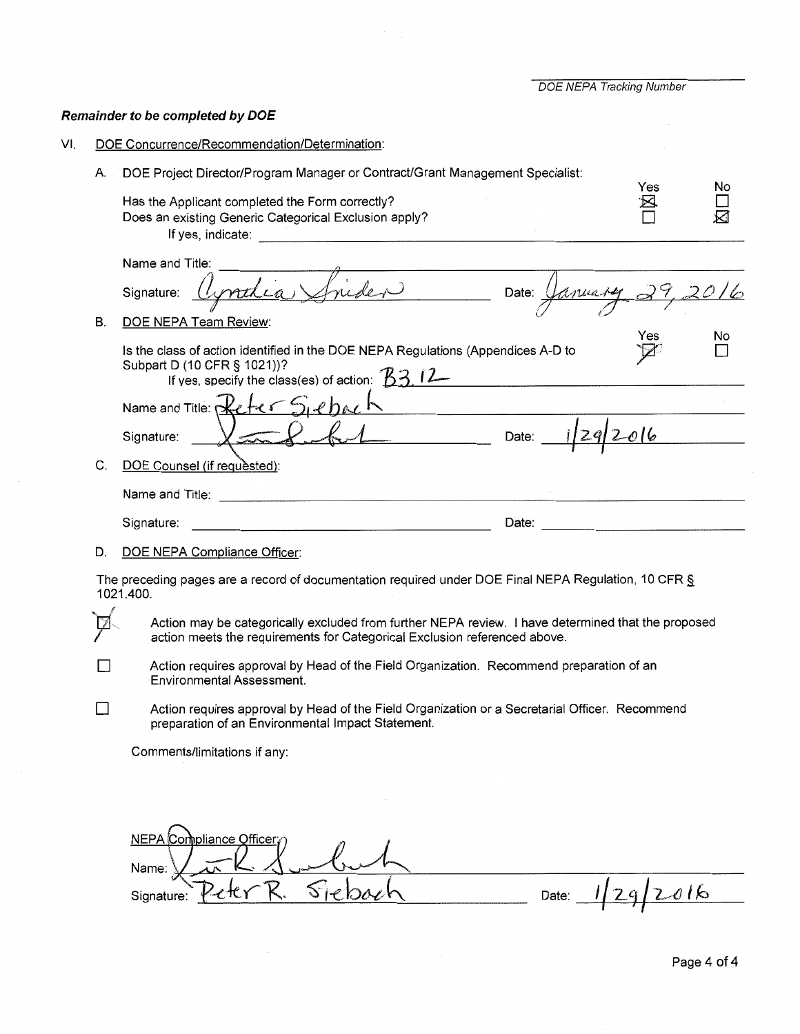**DOE NEPA Tracking Number** 

# Remainder to be completed by DOE

VI. DOE Concurrence/Recommendation/Determination:

| А. | DOE Project Director/Program Manager or Contract/Grant Management Specialist:<br>Has the Applicant completed the Form correctly?                                                | Yes  | Νo  |
|----|---------------------------------------------------------------------------------------------------------------------------------------------------------------------------------|------|-----|
|    | Does an existing Generic Categorical Exclusion apply?                                                                                                                           |      |     |
| В. | Name and Title:<br>aprodia Suider Date: January 29,20,<br>Signature:<br>DOE NEPA Team Review:                                                                                   |      |     |
|    | Is the class of action identified in the DOE NEPA Regulations (Appendices A-D to<br>Subpart D (10 CFR § 1021))?<br>If yes, specify the class(es) of action: $33.12$             | Yes  | No  |
|    | Name and Title: Reter Siebach<br><u> 1980 - Johann Barn, mars ann an t-Amhair ann an t-</u>                                                                                     |      |     |
|    | $f_{29}$ Date: $1/29$<br>Signature:                                                                                                                                             | 2016 |     |
| C. | DOE Counsel (if requested):                                                                                                                                                     |      |     |
|    | Name and Title: <u>Andrean American Communication</u>                                                                                                                           |      |     |
|    | Date:<br>Signature:                                                                                                                                                             |      |     |
| D. | DOE NEPA Compliance Officer:                                                                                                                                                    |      |     |
|    | The preceding pages are a record of documentation required under DOE Final NEPA Regulation, 10 CFR $\S$<br>1021.400.                                                            |      |     |
|    | Action may be categorically excluded from further NEPA review. I have determined that the proposed<br>action meets the requirements for Categorical Exclusion referenced above. |      |     |
|    | Action requires approval by Head of the Field Organization. Recommend preparation of an<br><b>Environmental Assessment.</b>                                                     |      |     |
|    | Action requires approval by Head of the Field Organization or a Secretarial Officer. Recommend<br>preparation of an Environmental Impact Statement.                             |      |     |
|    | Comments/limitations if any:                                                                                                                                                    |      |     |
|    |                                                                                                                                                                                 |      |     |
|    |                                                                                                                                                                                 |      |     |
|    | NEPA Compliance Officer<br>Name:                                                                                                                                                |      |     |
|    | Date:<br>Signature:                                                                                                                                                             |      | 016 |
|    |                                                                                                                                                                                 |      |     |